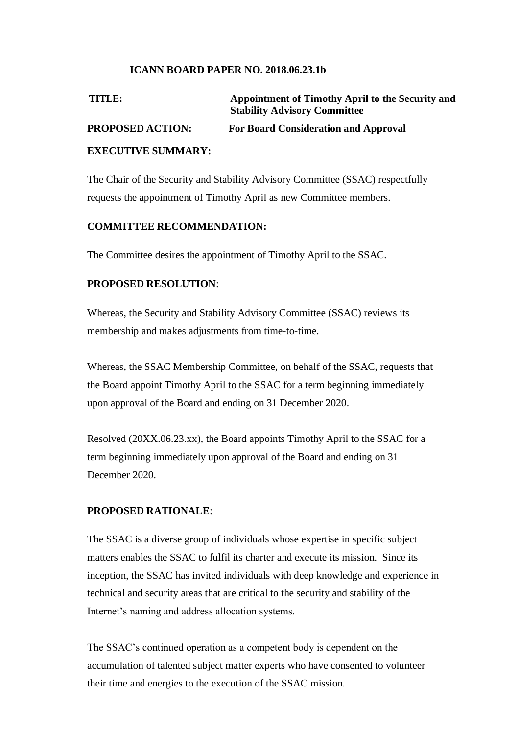#### **ICANN BOARD PAPER NO. 2018.06.23.1b**

| TITLE:                    | Appointment of Timothy April to the Security and<br><b>Stability Advisory Committee</b> |
|---------------------------|-----------------------------------------------------------------------------------------|
| <b>PROPOSED ACTION:</b>   | <b>For Board Consideration and Approval</b>                                             |
| <b>EXECUTIVE SUMMARY:</b> |                                                                                         |

The Chair of the Security and Stability Advisory Committee (SSAC) respectfully requests the appointment of Timothy April as new Committee members.

#### **COMMITTEE RECOMMENDATION:**

The Committee desires the appointment of Timothy April to the SSAC.

#### **PROPOSED RESOLUTION**:

Whereas, the Security and Stability Advisory Committee (SSAC) reviews its membership and makes adjustments from time-to-time.

Whereas, the SSAC Membership Committee, on behalf of the SSAC, requests that the Board appoint Timothy April to the SSAC for a term beginning immediately upon approval of the Board and ending on 31 December 2020.

Resolved (20XX.06.23.xx), the Board appoints Timothy April to the SSAC for a term beginning immediately upon approval of the Board and ending on 31 December 2020.

#### **PROPOSED RATIONALE**:

The SSAC is a diverse group of individuals whose expertise in specific subject matters enables the SSAC to fulfil its charter and execute its mission. Since its inception, the SSAC has invited individuals with deep knowledge and experience in technical and security areas that are critical to the security and stability of the Internet's naming and address allocation systems.

The SSAC's continued operation as a competent body is dependent on the accumulation of talented subject matter experts who have consented to volunteer their time and energies to the execution of the SSAC mission.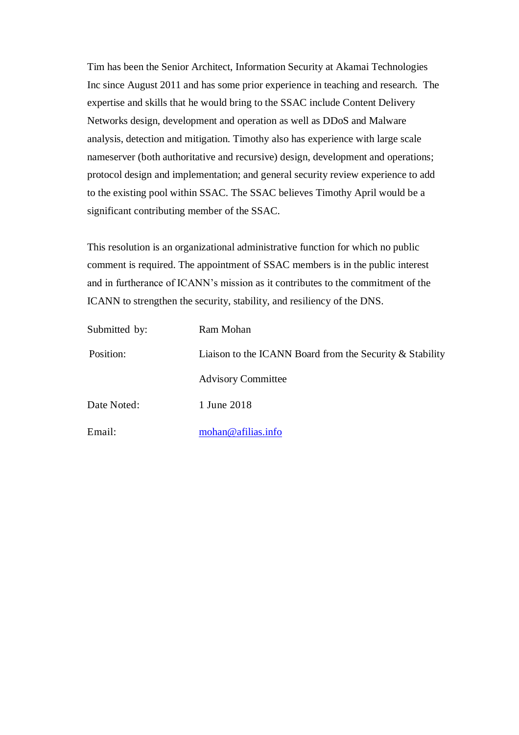Tim has been the Senior Architect, Information Security at Akamai Technologies Inc since August 2011 and has some prior experience in teaching and research. The expertise and skills that he would bring to the SSAC include Content Delivery Networks design, development and operation as well as DDoS and Malware analysis, detection and mitigation. Timothy also has experience with large scale nameserver (both authoritative and recursive) design, development and operations; protocol design and implementation; and general security review experience to add to the existing pool within SSAC. The SSAC believes Timothy April would be a significant contributing member of the SSAC.

This resolution is an organizational administrative function for which no public comment is required. The appointment of SSAC members is in the public interest and in furtherance of ICANN's mission as it contributes to the commitment of the ICANN to strengthen the security, stability, and resiliency of the DNS.

| Submitted by: | Ram Mohan                                                |  |
|---------------|----------------------------------------------------------|--|
| Position:     | Liaison to the ICANN Board from the Security & Stability |  |
|               | <b>Advisory Committee</b>                                |  |
| Date Noted:   | 1 June 2018                                              |  |
| Email:        | mohan@afilias.info                                       |  |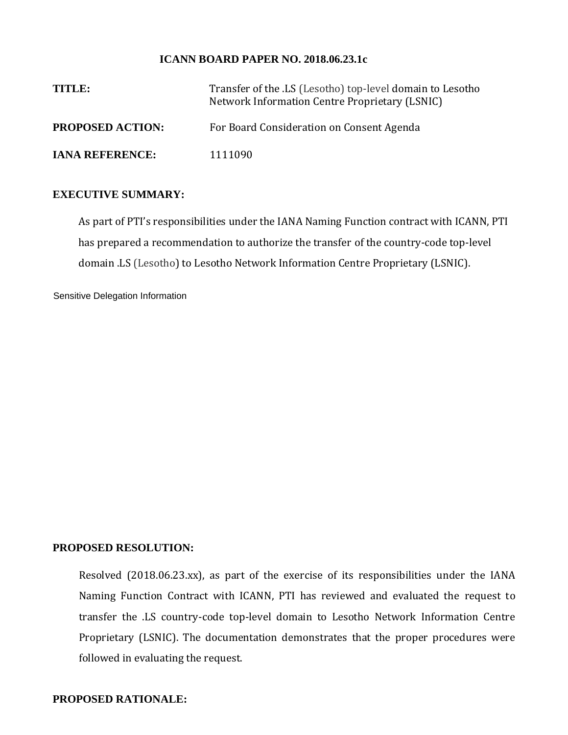#### **ICANN BOARD PAPER NO. 2018.06.23.1c**

| TITLE:                  | Transfer of the .LS (Lesotho) top-level domain to Lesotho<br>Network Information Centre Proprietary (LSNIC) |  |
|-------------------------|-------------------------------------------------------------------------------------------------------------|--|
| <b>PROPOSED ACTION:</b> | For Board Consideration on Consent Agenda                                                                   |  |
| <b>IANA REFERENCE:</b>  | 1111090                                                                                                     |  |

#### **EXECUTIVE SUMMARY:**

As part of PTI's responsibilities under the IANA Naming Function contract with ICANN, PTI has prepared a recommendation to authorize the transfer of the country-code top-level domain .LS (Lesotho) to Lesotho Network Information Centre Proprietary (LSNIC).

Sensitive Delegation Information

#### **PROPOSED RESOLUTION:**

Resolved (2018.06.23.xx), as part of the exercise of its responsibilities under the IANA Naming Function Contract with ICANN, PTI has reviewed and evaluated the request to transfer the .LS country-code top-level domain to Lesotho Network Information Centre Proprietary (LSNIC). The documentation demonstrates that the proper procedures were followed in evaluating the request.

#### **PROPOSED RATIONALE:**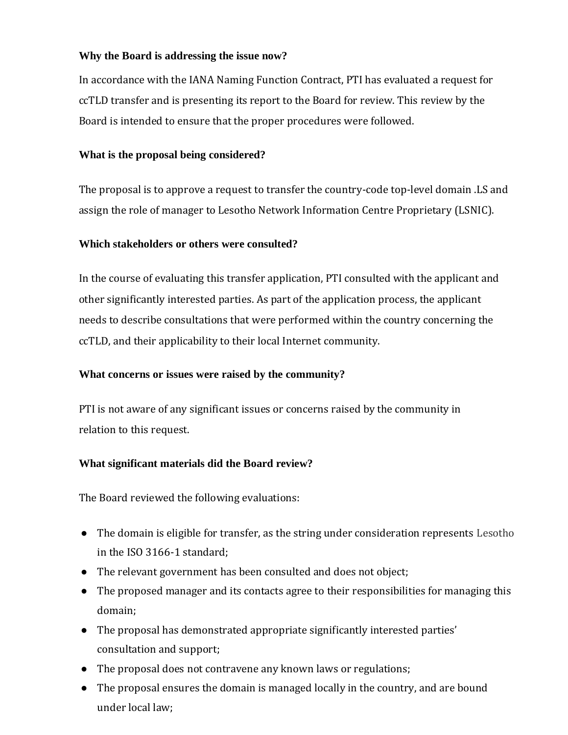## **Why the Board is addressing the issue now?**

In accordance with the IANA Naming Function Contract, PTI has evaluated a request for ccTLD transfer and is presenting its report to the Board for review. This review by the Board is intended to ensure that the proper procedures were followed.

## **What is the proposal being considered?**

The proposal is to approve a request to transfer the country-code top-level domain .LS and assign the role of manager to Lesotho Network Information Centre Proprietary (LSNIC).

### **Which stakeholders or others were consulted?**

In the course of evaluating this transfer application, PTI consulted with the applicant and other significantly interested parties. As part of the application process, the applicant needs to describe consultations that were performed within the country concerning the ccTLD, and their applicability to their local Internet community.

## **What concerns or issues were raised by the community?**

PTI is not aware of any significant issues or concerns raised by the community in relation to this request.

## **What significant materials did the Board review?**

The Board reviewed the following evaluations:

- The domain is eligible for transfer, as the string under consideration represents Lesotho in the ISO 3166-1 standard;
- The relevant government has been consulted and does not object;
- The proposed manager and its contacts agree to their responsibilities for managing this domain;
- The proposal has demonstrated appropriate significantly interested parties' consultation and support;
- The proposal does not contravene any known laws or regulations;
- The proposal ensures the domain is managed locally in the country, and are bound under local law;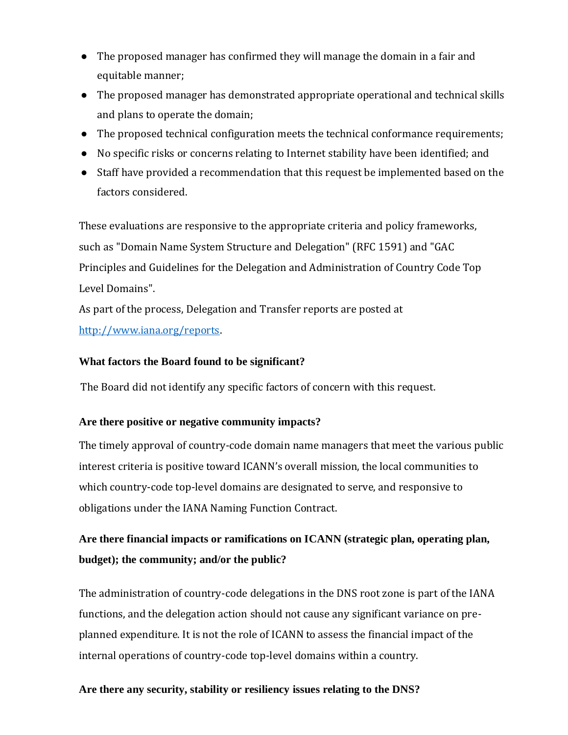- The proposed manager has confirmed they will manage the domain in a fair and equitable manner;
- The proposed manager has demonstrated appropriate operational and technical skills and plans to operate the domain;
- The proposed technical configuration meets the technical conformance requirements;
- No specific risks or concerns relating to Internet stability have been identified; and
- Staff have provided a recommendation that this request be implemented based on the factors considered.

These evaluations are responsive to the appropriate criteria and policy frameworks, such as "Domain Name System Structure and Delegation" (RFC 1591) and "GAC Principles and Guidelines for the Delegation and Administration of Country Code Top Level Domains".

As part of the process, Delegation and Transfer reports are posted at http://www.iana.org/reports.

## **What factors the Board found to be significant?**

The Board did not identify any specific factors of concern with this request.

## **Are there positive or negative community impacts?**

The timely approval of country-code domain name managers that meet the various public interest criteria is positive toward ICANN's overall mission, the local communities to which country-code top-level domains are designated to serve, and responsive to obligations under the IANA Naming Function Contract.

## **Are there financial impacts or ramifications on ICANN (strategic plan, operating plan, budget); the community; and/or the public?**

The administration of country-code delegations in the DNS root zone is part of the IANA functions, and the delegation action should not cause any significant variance on preplanned expenditure. It is not the role of ICANN to assess the financial impact of the internal operations of country-code top-level domains within a country.

## **Are there any security, stability or resiliency issues relating to the DNS?**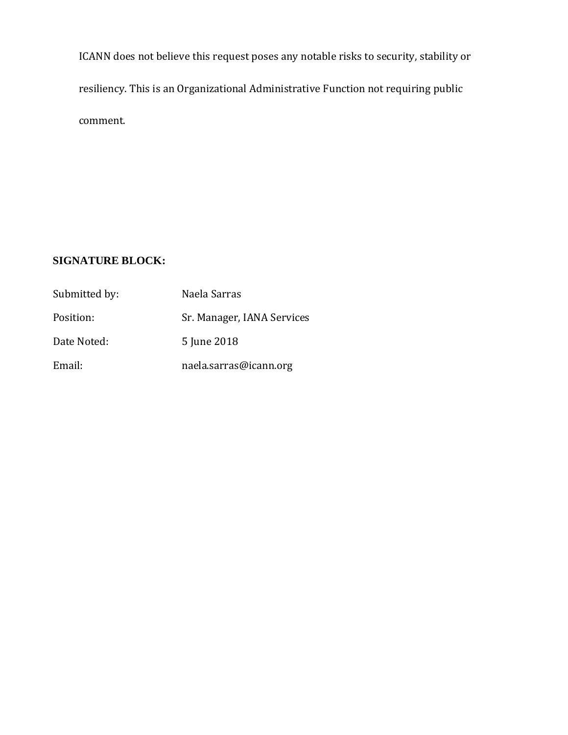ICANN does not believe this request poses any notable risks to security, stability or resiliency. This is an Organizational Administrative Function not requiring public comment.

## **SIGNATURE BLOCK:**

| Submitted by: | Naela Sarras               |
|---------------|----------------------------|
| Position:     | Sr. Manager, IANA Services |
| Date Noted:   | 5 June 2018                |
| Email:        | naela.sarras@icann.org     |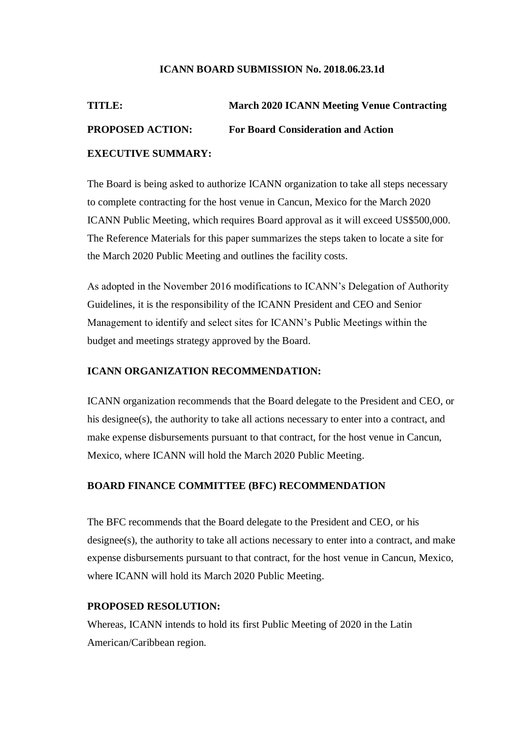#### **ICANN BOARD SUBMISSION No. 2018.06.23.1d**

| TITLE:                    | <b>March 2020 ICANN Meeting Venue Contracting</b> |
|---------------------------|---------------------------------------------------|
| <b>PROPOSED ACTION:</b>   | <b>For Board Consideration and Action</b>         |
| <b>EXECUTIVE SUMMARY:</b> |                                                   |

The Board is being asked to authorize ICANN organization to take all steps necessary to complete contracting for the host venue in Cancun, Mexico for the March 2020 ICANN Public Meeting, which requires Board approval as it will exceed US\$500,000. The Reference Materials for this paper summarizes the steps taken to locate a site for the March 2020 Public Meeting and outlines the facility costs.

As adopted in the November 2016 modifications to ICANN's Delegation of Authority Guidelines, it is the responsibility of the ICANN President and CEO and Senior Management to identify and select sites for ICANN's Public Meetings within the budget and meetings strategy approved by the Board.

#### **ICANN ORGANIZATION RECOMMENDATION:**

ICANN organization recommends that the Board delegate to the President and CEO, or his designee(s), the authority to take all actions necessary to enter into a contract, and make expense disbursements pursuant to that contract, for the host venue in Cancun, Mexico, where ICANN will hold the March 2020 Public Meeting.

#### **BOARD FINANCE COMMITTEE (BFC) RECOMMENDATION**

The BFC recommends that the Board delegate to the President and CEO, or his designee(s), the authority to take all actions necessary to enter into a contract, and make expense disbursements pursuant to that contract, for the host venue in Cancun, Mexico, where ICANN will hold its March 2020 Public Meeting.

#### **PROPOSED RESOLUTION:**

Whereas, ICANN intends to hold its first Public Meeting of 2020 in the Latin American/Caribbean region.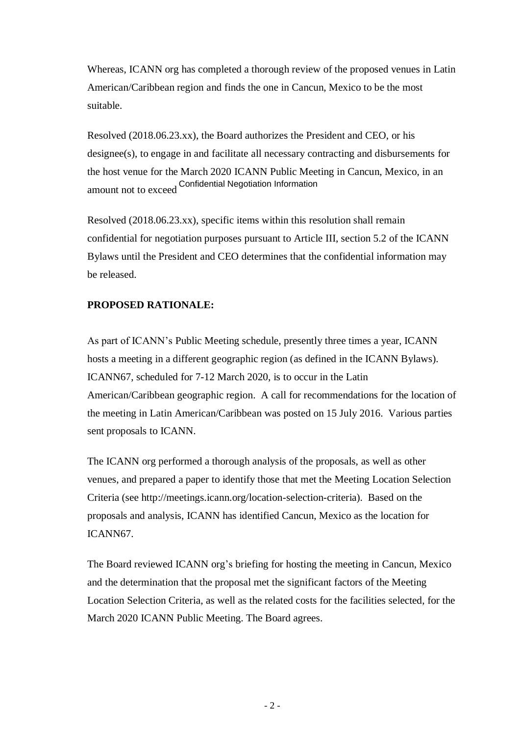Whereas, ICANN org has completed a thorough review of the proposed venues in Latin American/Caribbean region and finds the one in Cancun, Mexico to be the most suitable.

Resolved (2018.06.23.xx), the Board authorizes the President and CEO, or his designee(s), to engage in and facilitate all necessary contracting and disbursements for the host venue for the March 2020 ICANN Public Meeting in Cancun, Mexico, in an amount not to exceed Confidential Negotiation Information

Resolved (2018.06.23.xx), specific items within this resolution shall remain confidential for negotiation purposes pursuant to Article III, section 5.2 of the ICANN Bylaws until the President and CEO determines that the confidential information may be released.

## **PROPOSED RATIONALE:**

As part of ICANN's Public Meeting schedule, presently three times a year, ICANN hosts a meeting in a different geographic region (as defined in the ICANN Bylaws). ICANN67, scheduled for 7-12 March 2020, is to occur in the Latin American/Caribbean geographic region. A call for recommendations for the location of the meeting in Latin American/Caribbean was posted on 15 July 2016. Various parties sent proposals to ICANN.

The ICANN org performed a thorough analysis of the proposals, as well as other venues, and prepared a paper to identify those that met the Meeting Location Selection Criteria (see http://meetings.icann.org/location-selection-criteria). Based on the proposals and analysis, ICANN has identified Cancun, Mexico as the location for ICANN67.

The Board reviewed ICANN org's briefing for hosting the meeting in Cancun, Mexico and the determination that the proposal met the significant factors of the Meeting Location Selection Criteria, as well as the related costs for the facilities selected, for the March 2020 ICANN Public Meeting. The Board agrees.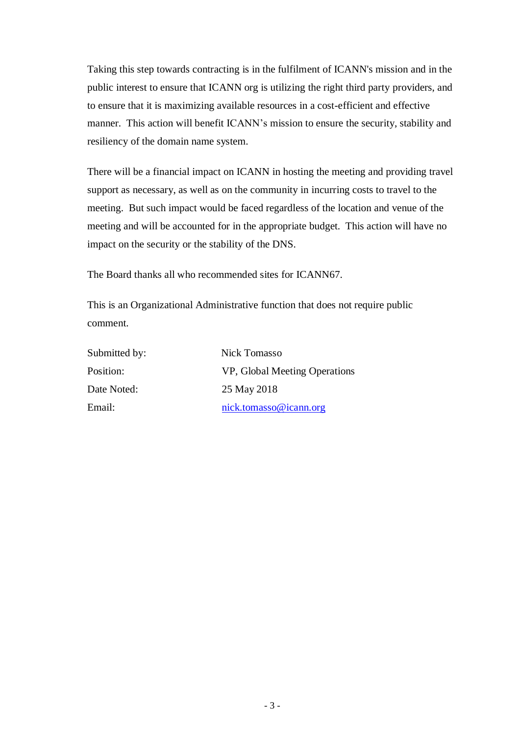Taking this step towards contracting is in the fulfilment of ICANN's mission and in the public interest to ensure that ICANN org is utilizing the right third party providers, and to ensure that it is maximizing available resources in a cost-efficient and effective manner. This action will benefit ICANN's mission to ensure the security, stability and resiliency of the domain name system.

There will be a financial impact on ICANN in hosting the meeting and providing travel support as necessary, as well as on the community in incurring costs to travel to the meeting. But such impact would be faced regardless of the location and venue of the meeting and will be accounted for in the appropriate budget. This action will have no impact on the security or the stability of the DNS.

The Board thanks all who recommended sites for ICANN67.

This is an Organizational Administrative function that does not require public comment.

| Submitted by: | Nick Tomasso                  |  |
|---------------|-------------------------------|--|
| Position:     | VP, Global Meeting Operations |  |
| Date Noted:   | 25 May 2018                   |  |
| Email:        | nick.tomasso@icann.org        |  |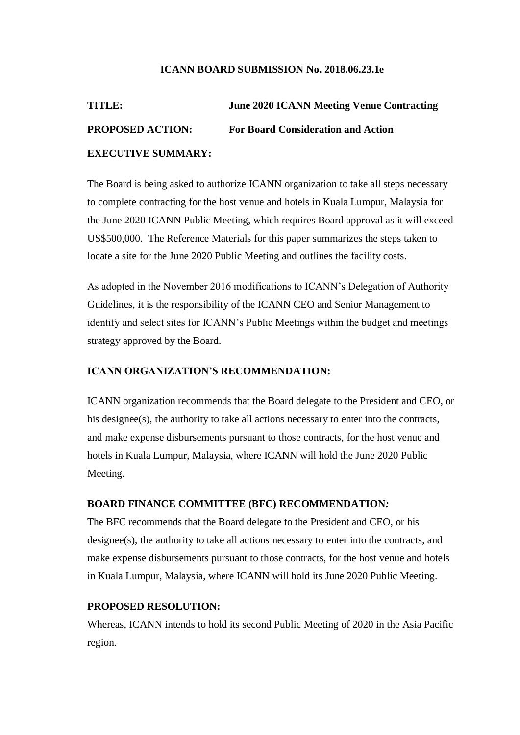#### **ICANN BOARD SUBMISSION No. 2018.06.23.1e**

# **TITLE: June 2020 ICANN Meeting Venue Contracting PROPOSED ACTION: For Board Consideration and Action EXECUTIVE SUMMARY:**

The Board is being asked to authorize ICANN organization to take all steps necessary to complete contracting for the host venue and hotels in Kuala Lumpur, Malaysia for the June 2020 ICANN Public Meeting, which requires Board approval as it will exceed US\$500,000. The Reference Materials for this paper summarizes the steps taken to locate a site for the June 2020 Public Meeting and outlines the facility costs.

As adopted in the November 2016 modifications to ICANN's Delegation of Authority Guidelines, it is the responsibility of the ICANN CEO and Senior Management to identify and select sites for ICANN's Public Meetings within the budget and meetings strategy approved by the Board.

#### **ICANN ORGANIZATION'S RECOMMENDATION:**

ICANN organization recommends that the Board delegate to the President and CEO, or his designee(s), the authority to take all actions necessary to enter into the contracts, and make expense disbursements pursuant to those contracts, for the host venue and hotels in Kuala Lumpur, Malaysia, where ICANN will hold the June 2020 Public Meeting.

#### **BOARD FINANCE COMMITTEE (BFC) RECOMMENDATION***:*

The BFC recommends that the Board delegate to the President and CEO, or his designee(s), the authority to take all actions necessary to enter into the contracts, and make expense disbursements pursuant to those contracts, for the host venue and hotels in Kuala Lumpur, Malaysia, where ICANN will hold its June 2020 Public Meeting.

#### **PROPOSED RESOLUTION:**

Whereas, ICANN intends to hold its second Public Meeting of 2020 in the Asia Pacific region.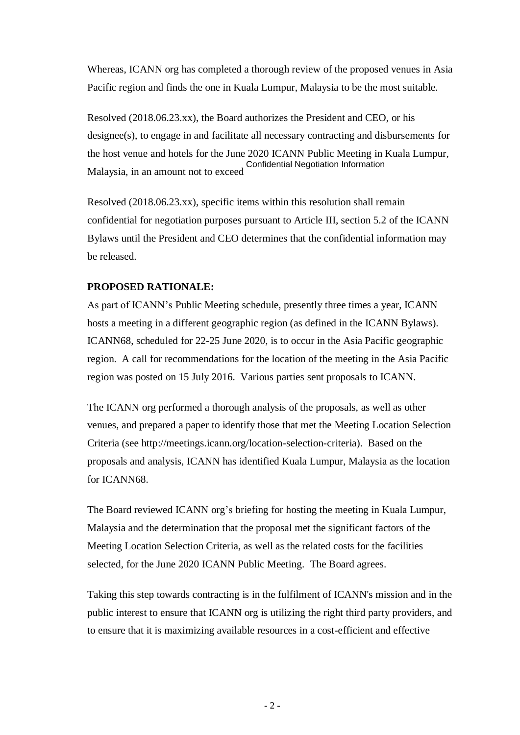Whereas, ICANN org has completed a thorough review of the proposed venues in Asia Pacific region and finds the one in Kuala Lumpur, Malaysia to be the most suitable.

Resolved (2018.06.23.xx), the Board authorizes the President and CEO, or his designee(s), to engage in and facilitate all necessary contracting and disbursements for the host venue and hotels for the June 2020 ICANN Public Meeting in Kuala Lumpur, Malaysia, in an amount not to exceed Confidential Negotiation Information

Resolved (2018.06.23.xx), specific items within this resolution shall remain confidential for negotiation purposes pursuant to Article III, section 5.2 of the ICANN Bylaws until the President and CEO determines that the confidential information may be released.

### **PROPOSED RATIONALE:**

As part of ICANN's Public Meeting schedule, presently three times a year, ICANN hosts a meeting in a different geographic region (as defined in the ICANN Bylaws). ICANN68, scheduled for 22-25 June 2020, is to occur in the Asia Pacific geographic region. A call for recommendations for the location of the meeting in the Asia Pacific region was posted on 15 July 2016. Various parties sent proposals to ICANN.

The ICANN org performed a thorough analysis of the proposals, as well as other venues, and prepared a paper to identify those that met the Meeting Location Selection Criteria (see http://meetings.icann.org/location-selection-criteria). Based on the proposals and analysis, ICANN has identified Kuala Lumpur, Malaysia as the location for ICANN68.

The Board reviewed ICANN org's briefing for hosting the meeting in Kuala Lumpur, Malaysia and the determination that the proposal met the significant factors of the Meeting Location Selection Criteria, as well as the related costs for the facilities selected, for the June 2020 ICANN Public Meeting. The Board agrees.

Taking this step towards contracting is in the fulfilment of ICANN's mission and in the public interest to ensure that ICANN org is utilizing the right third party providers, and to ensure that it is maximizing available resources in a cost-efficient and effective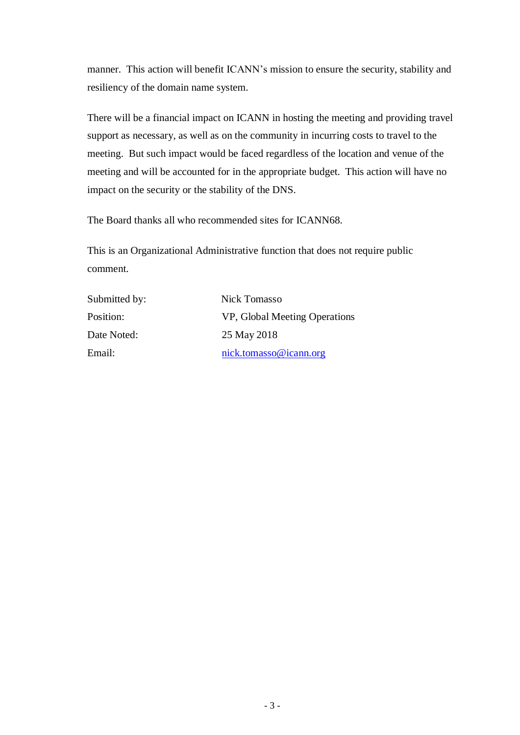manner. This action will benefit ICANN's mission to ensure the security, stability and resiliency of the domain name system.

There will be a financial impact on ICANN in hosting the meeting and providing travel support as necessary, as well as on the community in incurring costs to travel to the meeting. But such impact would be faced regardless of the location and venue of the meeting and will be accounted for in the appropriate budget. This action will have no impact on the security or the stability of the DNS.

The Board thanks all who recommended sites for ICANN68.

This is an Organizational Administrative function that does not require public comment.

| Submitted by: | Nick Tomasso                  |
|---------------|-------------------------------|
| Position:     | VP, Global Meeting Operations |
| Date Noted:   | 25 May 2018                   |
| Email:        | nick.tomasso@icann.org        |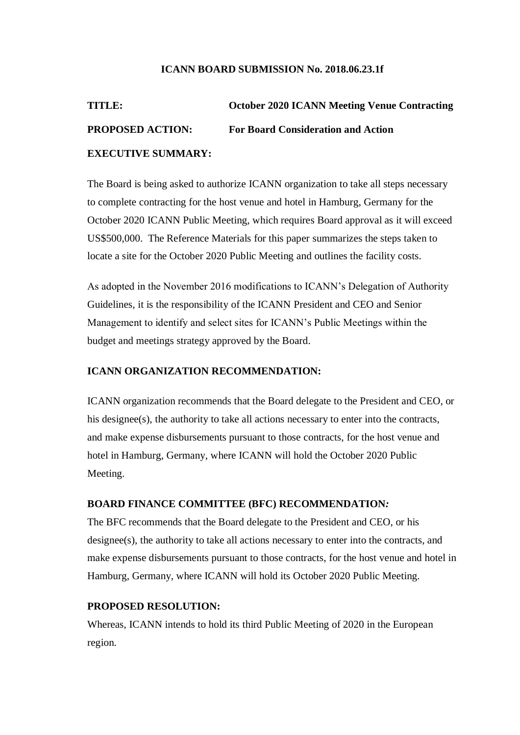#### **ICANN BOARD SUBMISSION No. 2018.06.23.1f**

# **TITLE: October 2020 ICANN Meeting Venue Contracting PROPOSED ACTION: For Board Consideration and Action EXECUTIVE SUMMARY:**

The Board is being asked to authorize ICANN organization to take all steps necessary to complete contracting for the host venue and hotel in Hamburg, Germany for the October 2020 ICANN Public Meeting, which requires Board approval as it will exceed US\$500,000. The Reference Materials for this paper summarizes the steps taken to locate a site for the October 2020 Public Meeting and outlines the facility costs.

As adopted in the November 2016 modifications to ICANN's Delegation of Authority Guidelines, it is the responsibility of the ICANN President and CEO and Senior Management to identify and select sites for ICANN's Public Meetings within the budget and meetings strategy approved by the Board.

#### **ICANN ORGANIZATION RECOMMENDATION:**

ICANN organization recommends that the Board delegate to the President and CEO, or his designee(s), the authority to take all actions necessary to enter into the contracts, and make expense disbursements pursuant to those contracts, for the host venue and hotel in Hamburg, Germany, where ICANN will hold the October 2020 Public Meeting.

#### **BOARD FINANCE COMMITTEE (BFC) RECOMMENDATION***:*

The BFC recommends that the Board delegate to the President and CEO, or his designee(s), the authority to take all actions necessary to enter into the contracts, and make expense disbursements pursuant to those contracts, for the host venue and hotel in Hamburg, Germany, where ICANN will hold its October 2020 Public Meeting.

#### **PROPOSED RESOLUTION:**

Whereas, ICANN intends to hold its third Public Meeting of 2020 in the European region.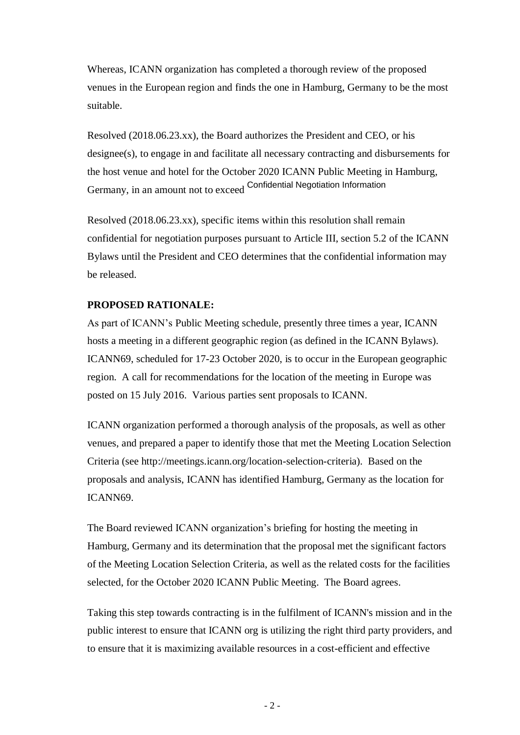Whereas, ICANN organization has completed a thorough review of the proposed venues in the European region and finds the one in Hamburg, Germany to be the most suitable.

Resolved (2018.06.23.xx), the Board authorizes the President and CEO, or his designee(s), to engage in and facilitate all necessary contracting and disbursements for the host venue and hotel for the October 2020 ICANN Public Meeting in Hamburg, Germany, in an amount not to exceed Confidential Negotiation Information

Resolved (2018.06.23.xx), specific items within this resolution shall remain confidential for negotiation purposes pursuant to Article III, section 5.2 of the ICANN Bylaws until the President and CEO determines that the confidential information may be released.

#### **PROPOSED RATIONALE:**

As part of ICANN's Public Meeting schedule, presently three times a year, ICANN hosts a meeting in a different geographic region (as defined in the ICANN Bylaws). ICANN69, scheduled for 17-23 October 2020, is to occur in the European geographic region. A call for recommendations for the location of the meeting in Europe was posted on 15 July 2016. Various parties sent proposals to ICANN.

ICANN organization performed a thorough analysis of the proposals, as well as other venues, and prepared a paper to identify those that met the Meeting Location Selection Criteria (see http://meetings.icann.org/location-selection-criteria). Based on the proposals and analysis, ICANN has identified Hamburg, Germany as the location for ICANN69.

The Board reviewed ICANN organization's briefing for hosting the meeting in Hamburg, Germany and its determination that the proposal met the significant factors of the Meeting Location Selection Criteria, as well as the related costs for the facilities selected, for the October 2020 ICANN Public Meeting. The Board agrees.

Taking this step towards contracting is in the fulfilment of ICANN's mission and in the public interest to ensure that ICANN org is utilizing the right third party providers, and to ensure that it is maximizing available resources in a cost-efficient and effective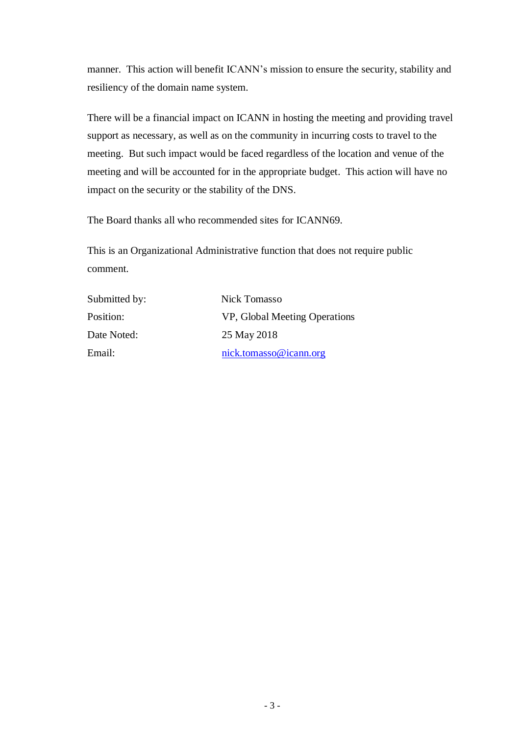manner. This action will benefit ICANN's mission to ensure the security, stability and resiliency of the domain name system.

There will be a financial impact on ICANN in hosting the meeting and providing travel support as necessary, as well as on the community in incurring costs to travel to the meeting. But such impact would be faced regardless of the location and venue of the meeting and will be accounted for in the appropriate budget. This action will have no impact on the security or the stability of the DNS.

The Board thanks all who recommended sites for ICANN69.

This is an Organizational Administrative function that does not require public comment.

| Submitted by: | Nick Tomasso                  |
|---------------|-------------------------------|
| Position:     | VP, Global Meeting Operations |
| Date Noted:   | 25 May 2018                   |
| Email:        | nick.tomasso@icann.org        |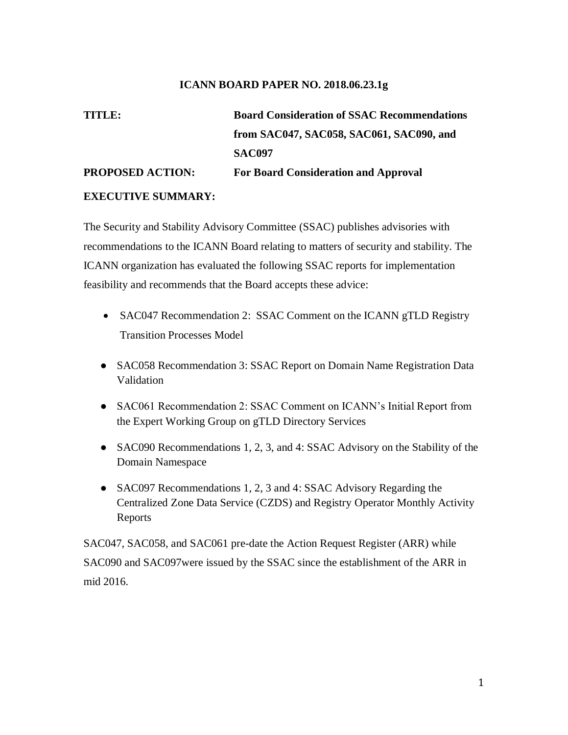#### **ICANN BOARD PAPER NO. 2018.06.23.1g**

## **TITLE: Board Consideration of SSAC Recommendations from SAC047, SAC058, SAC061, SAC090, and SAC097 PROPOSED ACTION: For Board Consideration and Approval EXECUTIVE SUMMARY:**

The Security and Stability Advisory Committee (SSAC) publishes advisories with recommendations to the ICANN Board relating to matters of security and stability. The ICANN organization has evaluated the following SSAC reports for implementation feasibility and recommends that the Board accepts these advice:

- SAC047 Recommendation 2: SSAC Comment on the ICANN gTLD Registry Transition Processes Model
- SAC058 Recommendation 3: SSAC Report on Domain Name Registration Data Validation
- SAC061 Recommendation 2: SSAC Comment on ICANN's Initial Report from the Expert Working Group on gTLD Directory Services
- SAC090 Recommendations 1, 2, 3, and 4: SSAC Advisory on the Stability of the Domain Namespace
- SAC097 Recommendations 1, 2, 3 and 4: SSAC Advisory Regarding the Centralized Zone Data Service (CZDS) and Registry Operator Monthly Activity Reports

SAC047, SAC058, and SAC061 pre-date the Action Request Register (ARR) while SAC090 and SAC097were issued by the SSAC since the establishment of the ARR in mid 2016.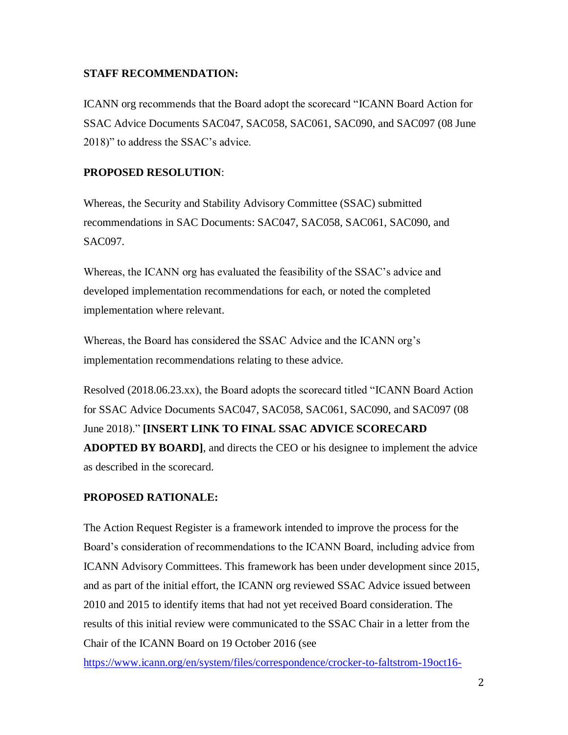#### **STAFF RECOMMENDATION:**

ICANN org recommends that the Board adopt the scorecard "ICANN Board Action for SSAC Advice Documents SAC047, SAC058, SAC061, SAC090, and SAC097 (08 June 2018)" to address the SSAC's advice.

#### **PROPOSED RESOLUTION**:

Whereas, the Security and Stability Advisory Committee (SSAC) submitted recommendations in SAC Documents: SAC047, SAC058, SAC061, SAC090, and SAC097.

Whereas, the ICANN org has evaluated the feasibility of the SSAC's advice and developed implementation recommendations for each, or noted the completed implementation where relevant.

Whereas, the Board has considered the SSAC Advice and the ICANN org's implementation recommendations relating to these advice.

Resolved (2018.06.23.xx), the Board adopts the scorecard titled "ICANN Board Action for SSAC Advice Documents SAC047, SAC058, SAC061, SAC090, and SAC097 (08 June 2018)." **[INSERT LINK TO FINAL SSAC ADVICE SCORECARD ADOPTED BY BOARD]**, and directs the CEO or his designee to implement the advice as described in the scorecard.

### **PROPOSED RATIONALE:**

The Action Request Register is a framework intended to improve the process for the Board's consideration of recommendations to the ICANN Board, including advice from ICANN Advisory Committees. This framework has been under development since 2015, and as part of the initial effort, the ICANN org reviewed SSAC Advice issued between 2010 and 2015 to identify items that had not yet received Board consideration. The results of this initial review were communicated to the SSAC Chair in a letter from the Chair of the ICANN Board on 19 October 2016 (see

https://www.icann.org/en/system/files/correspondence/crocker-to-faltstrom-19oct16-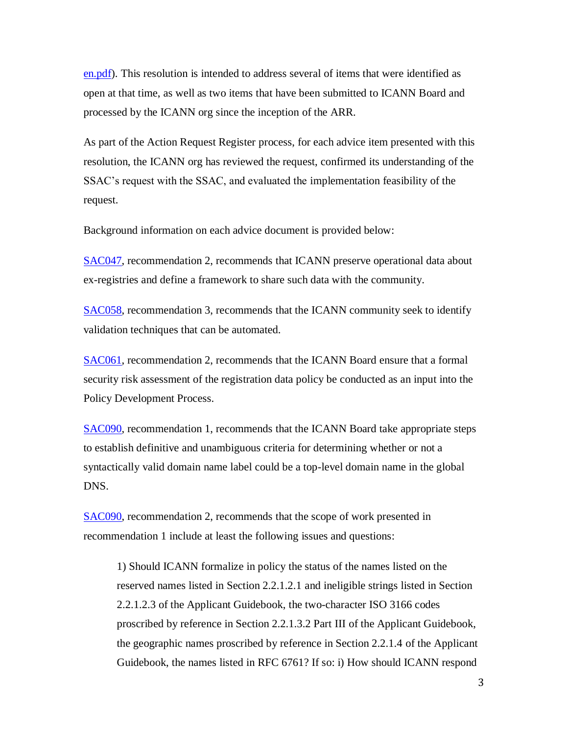en.pdf). This resolution is intended to address several of items that were identified as open at that time, as well as two items that have been submitted to ICANN Board and processed by the ICANN org since the inception of the ARR.

As part of the Action Request Register process, for each advice item presented with this resolution, the ICANN org has reviewed the request, confirmed its understanding of the SSAC's request with the SSAC, and evaluated the implementation feasibility of the request.

Background information on each advice document is provided below:

SAC047, recommendation 2, recommends that ICANN preserve operational data about ex-registries and define a framework to share such data with the community.

SAC058, recommendation 3, recommends that the ICANN community seek to identify validation techniques that can be automated.

SAC061, recommendation 2, recommends that the ICANN Board ensure that a formal security risk assessment of the registration data policy be conducted as an input into the Policy Development Process.

SAC090, recommendation 1, recommends that the ICANN Board take appropriate steps to establish definitive and unambiguous criteria for determining whether or not a syntactically valid domain name label could be a top-level domain name in the global DNS.

SAC090, recommendation 2, recommends that the scope of work presented in recommendation 1 include at least the following issues and questions:

1) Should ICANN formalize in policy the status of the names listed on the reserved names listed in Section 2.2.1.2.1 and ineligible strings listed in Section 2.2.1.2.3 of the Applicant Guidebook, the two-character ISO 3166 codes proscribed by reference in Section 2.2.1.3.2 Part III of the Applicant Guidebook, the geographic names proscribed by reference in Section 2.2.1.4 of the Applicant Guidebook, the names listed in RFC 6761? If so: i) How should ICANN respond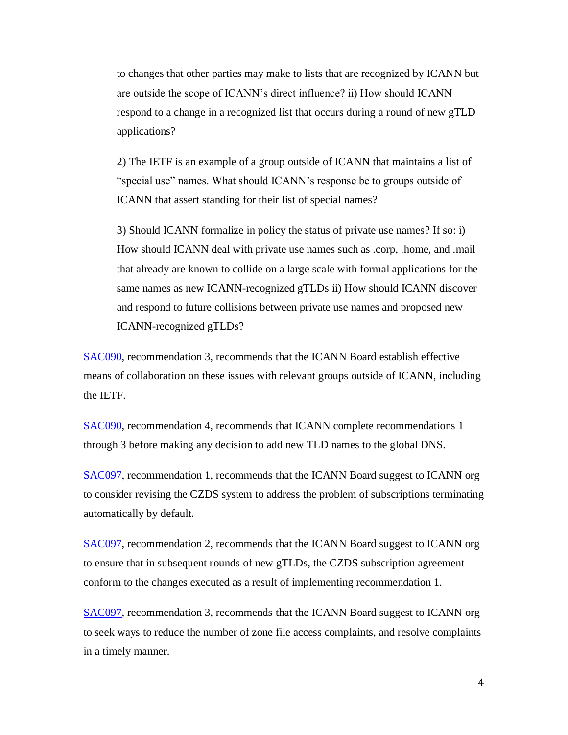to changes that other parties may make to lists that are recognized by ICANN but are outside the scope of ICANN's direct influence? ii) How should ICANN respond to a change in a recognized list that occurs during a round of new gTLD applications?

2) The IETF is an example of a group outside of ICANN that maintains a list of "special use" names. What should ICANN's response be to groups outside of ICANN that assert standing for their list of special names?

3) Should ICANN formalize in policy the status of private use names? If so: i) How should ICANN deal with private use names such as .corp, .home, and .mail that already are known to collide on a large scale with formal applications for the same names as new ICANN-recognized gTLDs ii) How should ICANN discover and respond to future collisions between private use names and proposed new ICANN-recognized gTLDs?

SAC090, recommendation 3, recommends that the ICANN Board establish effective means of collaboration on these issues with relevant groups outside of ICANN, including the IETF.

SAC090, recommendation 4, recommends that ICANN complete recommendations 1 through 3 before making any decision to add new TLD names to the global DNS.

SAC097, recommendation 1, recommends that the ICANN Board suggest to ICANN org to consider revising the CZDS system to address the problem of subscriptions terminating automatically by default.

SAC097, recommendation 2, recommends that the ICANN Board suggest to ICANN org to ensure that in subsequent rounds of new gTLDs, the CZDS subscription agreement conform to the changes executed as a result of implementing recommendation 1.

SAC097, recommendation 3, recommends that the ICANN Board suggest to ICANN org to seek ways to reduce the number of zone file access complaints, and resolve complaints in a timely manner.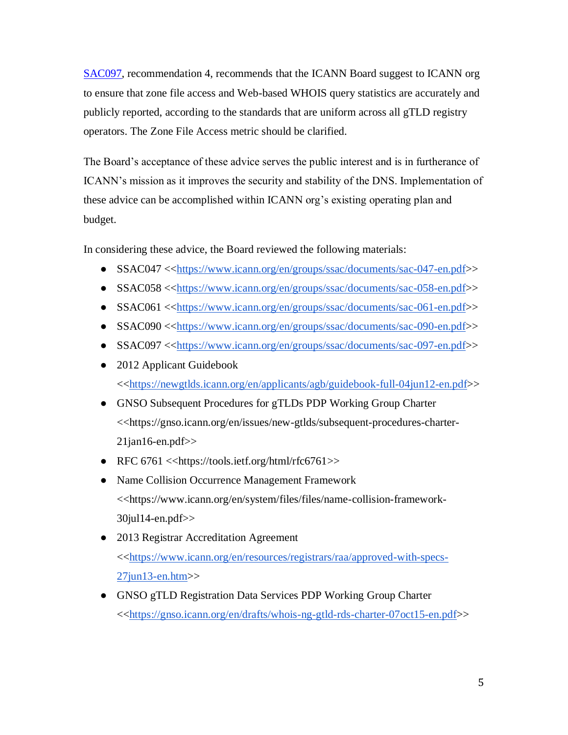SAC097, recommendation 4, recommends that the ICANN Board suggest to ICANN org to ensure that zone file access and Web-based WHOIS query statistics are accurately and publicly reported, according to the standards that are uniform across all gTLD registry operators. The Zone File Access metric should be clarified.

The Board's acceptance of these advice serves the public interest and is in furtherance of ICANN's mission as it improves the security and stability of the DNS. Implementation of these advice can be accomplished within ICANN org's existing operating plan and budget.

In considering these advice, the Board reviewed the following materials:

- SSAC047 <<https://www.icann.org/en/groups/ssac/documents/sac-047-en.pdf>>
- SSAC058 <<https://www.icann.org/en/groups/ssac/documents/sac-058-en.pdf>>
- SSAC061 <<https://www.icann.org/en/groups/ssac/documents/sac-061-en.pdf>>
- SSAC090 <<https://www.icann.org/en/groups/ssac/documents/sac-090-en.pdf>>
- SSAC097 <<https://www.icann.org/en/groups/ssac/documents/sac-097-en.pdf>>
- 2012 Applicant Guidebook <<https://newgtlds.icann.org/en/applicants/agb/guidebook-full-04jun12-en.pdf>>
- GNSO Subsequent Procedures for gTLDs PDP Working Group Charter <<https://gnso.icann.org/en/issues/new-gtlds/subsequent-procedures-charter- $21$ jan $16$ -en.pdf $>$
- RFC  $6761 \leq \frac{\text{https://tools.ietf.org/html/rfcc6761>}}{\text{https://tools.ietf.org/html/rfcc6761>}}$
- Name Collision Occurrence Management Framework <<https://www.icann.org/en/system/files/files/name-collision-framework-30jul14-en.pdf>>
- 2013 Registrar Accreditation Agreement <<https://www.icann.org/en/resources/registrars/raa/approved-with-specs-27jun13-en.htm>>
- GNSO gTLD Registration Data Services PDP Working Group Charter <<https://gnso.icann.org/en/drafts/whois-ng-gtld-rds-charter-07oct15-en.pdf>>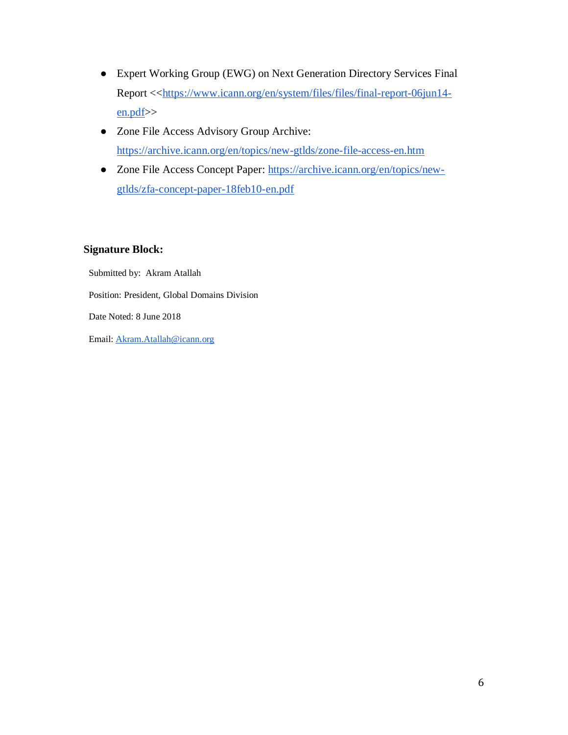- Expert Working Group (EWG) on Next Generation Directory Services Final Report <<https://www.icann.org/en/system/files/files/final-report-06jun14 en.pdf>>
- Zone File Access Advisory Group Archive: https://archive.icann.org/en/topics/new-gtlds/zone-file-access-en.htm
- Zone File Access Concept Paper: https://archive.icann.org/en/topics/newgtlds/zfa-concept-paper-18feb10-en.pdf

#### **Signature Block:**

Submitted by: Akram Atallah Position: President, Global Domains Division Date Noted: 8 June 2018 Email: Akram.Atallah@icann.org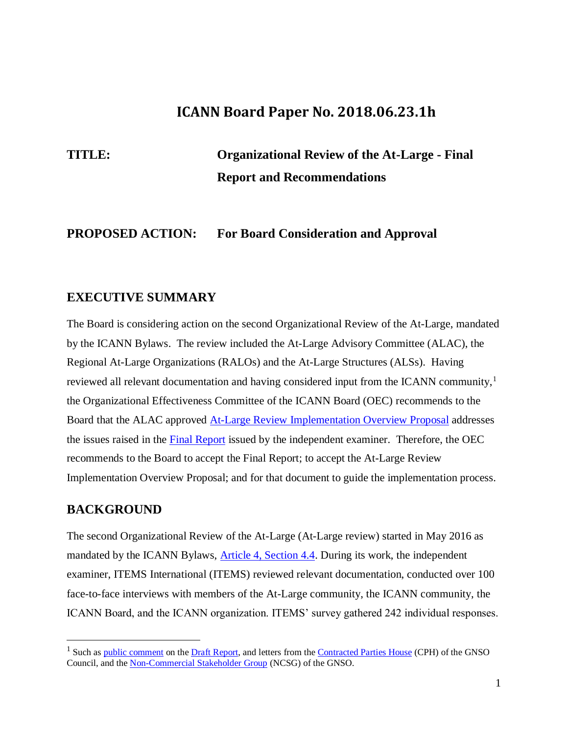## **ICANN Board Paper No. 2018.06.23.1h**

## **TITLE: Organizational Review of the At-Large - Final Report and Recommendations**

## **PROPOSED ACTION: For Board Consideration and Approval**

## **EXECUTIVE SUMMARY**

The Board is considering action on the second Organizational Review of the At-Large, mandated by the ICANN Bylaws. The review included the At-Large Advisory Committee (ALAC), the Regional At-Large Organizations (RALOs) and the At-Large Structures (ALSs). Having reviewed all relevant documentation and having considered input from the ICANN community,<sup>1</sup> the Organizational Effectiveness Committee of the ICANN Board (OEC) recommends to the Board that the ALAC approved At-Large Review Implementation Overview Proposal addresses the issues raised in the Final Report issued by the independent examiner. Therefore, the OEC recommends to the Board to accept the Final Report; to accept the At-Large Review Implementation Overview Proposal; and for that document to guide the implementation process.

## **BACKGROUND**

 $\overline{a}$ 

The second Organizational Review of the At-Large (At-Large review) started in May 2016 as mandated by the ICANN Bylaws, **Article 4, Section 4.4.** During its work, the independent examiner, ITEMS International (ITEMS) reviewed relevant documentation, conducted over 100 face-to-face interviews with members of the At-Large community, the ICANN community, the ICANN Board, and the ICANN organization. ITEMS' survey gathered 242 individual responses.

<sup>&</sup>lt;sup>1</sup> Such as public comment on the Draft Report, and letters from the Contracted Parties House (CPH) of the GNSO Council, and the Non-Commercial Stakeholder Group (NCSG) of the GNSO.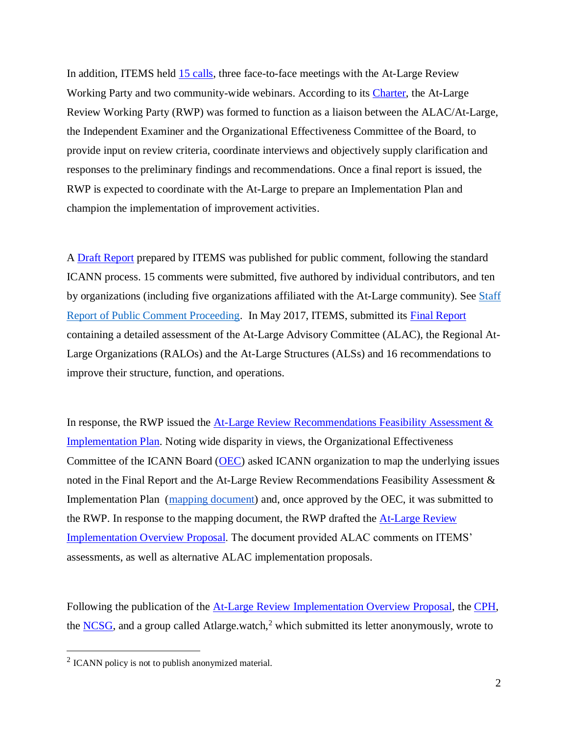In addition, ITEMS held 15 calls, three face-to-face meetings with the At-Large Review Working Party and two community-wide webinars. According to its Charter, the At-Large Review Working Party (RWP) was formed to function as a liaison between the ALAC/At-Large, the Independent Examiner and the Organizational Effectiveness Committee of the Board, to provide input on review criteria, coordinate interviews and objectively supply clarification and responses to the preliminary findings and recommendations. Once a final report is issued, the RWP is expected to coordinate with the At-Large to prepare an Implementation Plan and champion the implementation of improvement activities.

A Draft Report prepared by ITEMS was published for public comment, following the standard ICANN process. 15 comments were submitted, five authored by individual contributors, and ten by organizations (including five organizations affiliated with the At-Large community). See Staff Report of Public Comment Proceeding. In May 2017, ITEMS, submitted its Final Report containing a detailed assessment of the At-Large Advisory Committee (ALAC), the Regional At-Large Organizations (RALOs) and the At-Large Structures (ALSs) and 16 recommendations to improve their structure, function, and operations.

In response, the RWP issued the  $At-Large Review$  Recommendations Feasibility Assessment  $\&$ Implementation Plan. Noting wide disparity in views, the Organizational Effectiveness Committee of the ICANN Board (OEC) asked ICANN organization to map the underlying issues noted in the Final Report and the At-Large Review Recommendations Feasibility Assessment & Implementation Plan (mapping document) and, once approved by the OEC, it was submitted to the RWP. In response to the mapping document, the RWP drafted the **At-Large Review** Implementation Overview Proposal. The document provided ALAC comments on ITEMS' assessments, as well as alternative ALAC implementation proposals.

Following the publication of the At-Large Review Implementation Overview Proposal, the CPH, the  $NCSG$ , and a group called Atlarge.watch,<sup>2</sup> which submitted its letter anonymously, wrote to

 $\overline{a}$ 

 $2$  ICANN policy is not to publish anonymized material.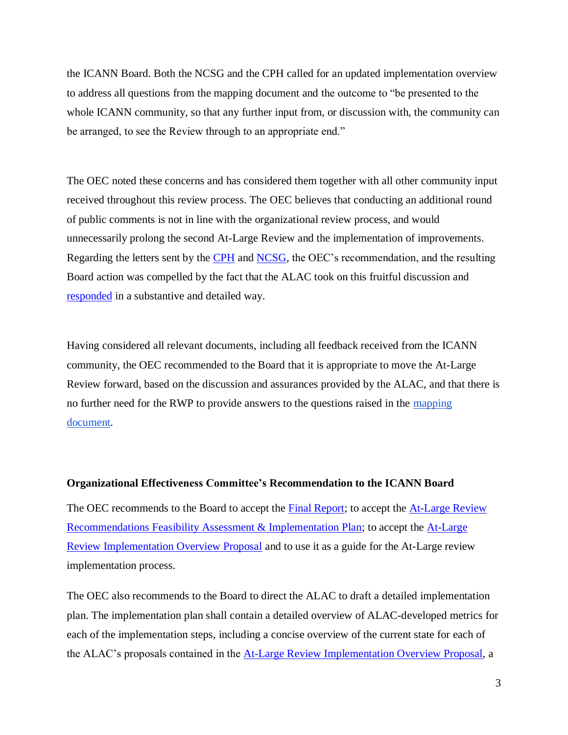the ICANN Board. Both the NCSG and the CPH called for an updated implementation overview to address all questions from the mapping document and the outcome to "be presented to the whole ICANN community, so that any further input from, or discussion with, the community can be arranged, to see the Review through to an appropriate end."

The OEC noted these concerns and has considered them together with all other community input received throughout this review process. The OEC believes that conducting an additional round of public comments is not in line with the organizational review process, and would unnecessarily prolong the second At-Large Review and the implementation of improvements. Regarding the letters sent by the CPH and NCSG, the OEC's recommendation, and the resulting Board action was compelled by the fact that the ALAC took on this fruitful discussion and responded in a substantive and detailed way.

Having considered all relevant documents, including all feedback received from the ICANN community, the OEC recommended to the Board that it is appropriate to move the At-Large Review forward, based on the discussion and assurances provided by the ALAC, and that there is no further need for the RWP to provide answers to the questions raised in the mapping document.

#### **Organizational Effectiveness Committee's Recommendation to the ICANN Board**

The OEC recommends to the Board to accept the **Final Report**; to accept the **At-Large Review** Recommendations Feasibility Assessment & Implementation Plan; to accept the At-Large Review Implementation Overview Proposal and to use it as a guide for the At-Large review implementation process.

The OEC also recommends to the Board to direct the ALAC to draft a detailed implementation plan. The implementation plan shall contain a detailed overview of ALAC-developed metrics for each of the implementation steps, including a concise overview of the current state for each of the ALAC's proposals contained in the At-Large Review Implementation Overview Proposal, a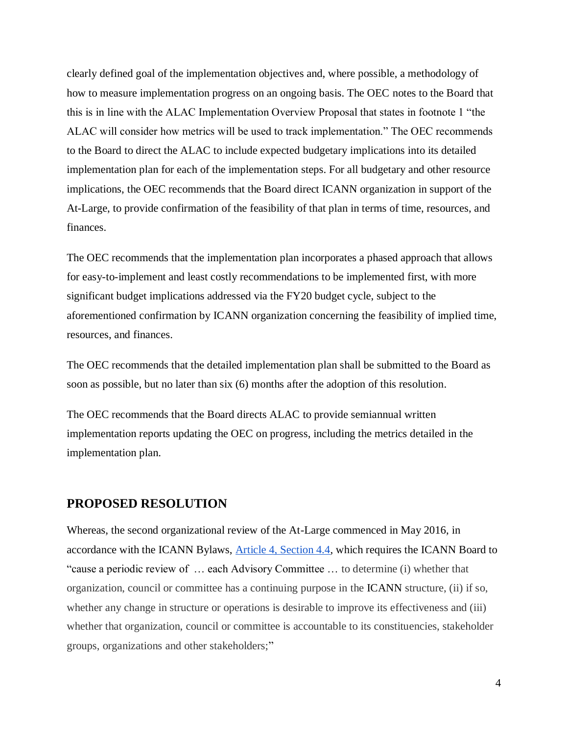clearly defined goal of the implementation objectives and, where possible, a methodology of how to measure implementation progress on an ongoing basis. The OEC notes to the Board that this is in line with the ALAC Implementation Overview Proposal that states in footnote 1 "the ALAC will consider how metrics will be used to track implementation." The OEC recommends to the Board to direct the ALAC to include expected budgetary implications into its detailed implementation plan for each of the implementation steps. For all budgetary and other resource implications, the OEC recommends that the Board direct ICANN organization in support of the At-Large, to provide confirmation of the feasibility of that plan in terms of time, resources, and finances.

The OEC recommends that the implementation plan incorporates a phased approach that allows for easy-to-implement and least costly recommendations to be implemented first, with more significant budget implications addressed via the FY20 budget cycle, subject to the aforementioned confirmation by ICANN organization concerning the feasibility of implied time, resources, and finances.

The OEC recommends that the detailed implementation plan shall be submitted to the Board as soon as possible, but no later than six (6) months after the adoption of this resolution.

The OEC recommends that the Board directs ALAC to provide semiannual written implementation reports updating the OEC on progress, including the metrics detailed in the implementation plan.

#### **PROPOSED RESOLUTION**

Whereas, the second organizational review of the At-Large commenced in May 2016, in accordance with the ICANN Bylaws, Article 4, Section 4.4, which requires the ICANN Board to "cause a periodic review of … each Advisory Committee … to determine (i) whether that organization, council or committee has a continuing purpose in the ICANN structure, (ii) if so, whether any change in structure or operations is desirable to improve its effectiveness and (iii) whether that organization, council or committee is accountable to its constituencies, stakeholder groups, organizations and other stakeholders;"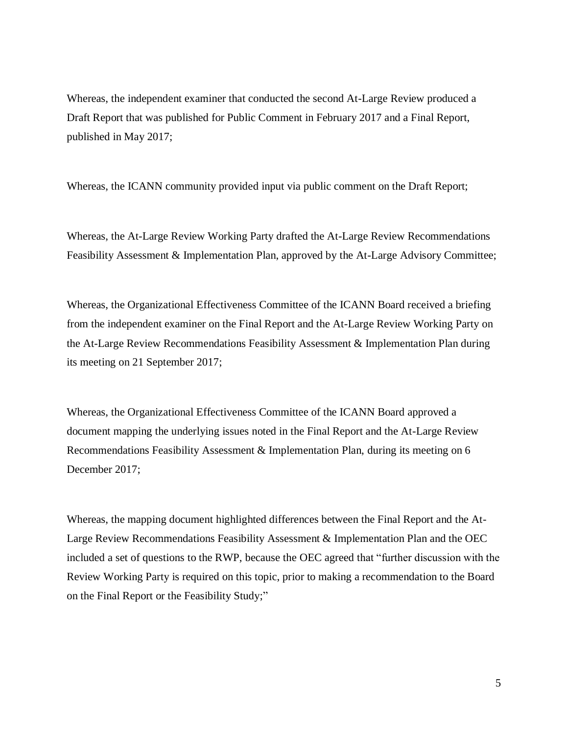Whereas, the independent examiner that conducted the second At-Large Review produced a Draft Report that was published for Public Comment in February 2017 and a Final Report, published in May 2017;

Whereas, the ICANN community provided input via public comment on the Draft Report;

Whereas, the At-Large Review Working Party drafted the At-Large Review Recommendations Feasibility Assessment & Implementation Plan, approved by the At-Large Advisory Committee;

Whereas, the Organizational Effectiveness Committee of the ICANN Board received a briefing from the independent examiner on the Final Report and the At-Large Review Working Party on the At-Large Review Recommendations Feasibility Assessment & Implementation Plan during its meeting on 21 September 2017;

Whereas, the Organizational Effectiveness Committee of the ICANN Board approved a document mapping the underlying issues noted in the Final Report and the At-Large Review Recommendations Feasibility Assessment & Implementation Plan, during its meeting on 6 December 2017;

Whereas, the mapping document highlighted differences between the Final Report and the At-Large Review Recommendations Feasibility Assessment & Implementation Plan and the OEC included a set of questions to the RWP, because the OEC agreed that "further discussion with the Review Working Party is required on this topic, prior to making a recommendation to the Board on the Final Report or the Feasibility Study;"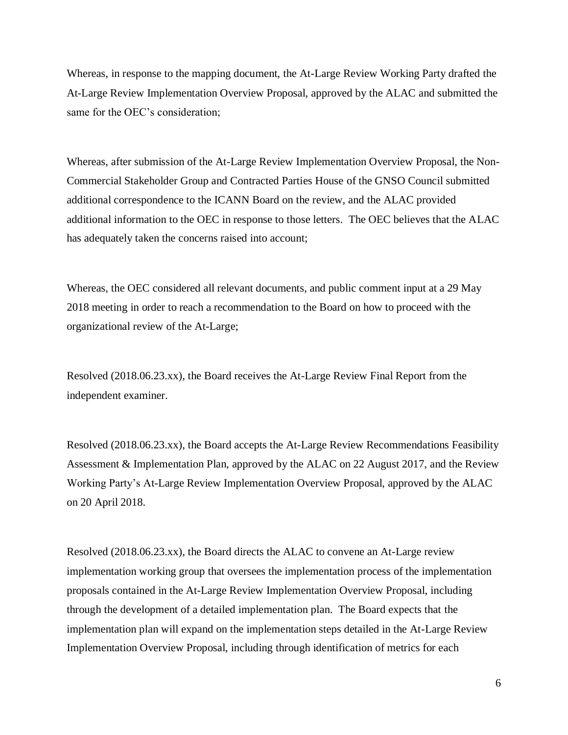Whereas, in response to the mapping document, the At-Large Review Working Party drafted the At-Large Review Implementation Overview Proposal, approved by the ALAC and submitted the same for the OEC's consideration;

Whereas, after submission of the At-Large Review Implementation Overview Proposal, the Non-Commercial Stakeholder Group and Contracted Parties House of the GNSO Council submitted additional correspondence to the ICANN Board on the review, and the ALAC provided additional information to the OEC in response to those letters. The OEC believes that the ALAC has adequately taken the concerns raised into account;

Whereas, the OEC considered all relevant documents, and public comment input at a 29 May 2018 meeting in order to reach a recommendation to the Board on how to proceed with the organizational review of the At-Large;

Resolved (2018.06.23.xx), the Board receives the At-Large Review Final Report from the independent examiner.

Resolved (2018.06.23.xx), the Board accepts the At-Large Review Recommendations Feasibility Assessment & Implementation Plan, approved by the ALAC on 22 August 2017, and the Review Working Party's At-Large Review Implementation Overview Proposal, approved by the ALAC on 20 April 2018.

Resolved (2018.06.23.xx), the Board directs the ALAC to convene an At-Large review implementation working group that oversees the implementation process of the implementation proposals contained in the At-Large Review Implementation Overview Proposal, including through the development of a detailed implementation plan. The Board expects that the implementation plan will expand on the implementation steps detailed in the At-Large Review Implementation Overview Proposal, including through identification of metrics for each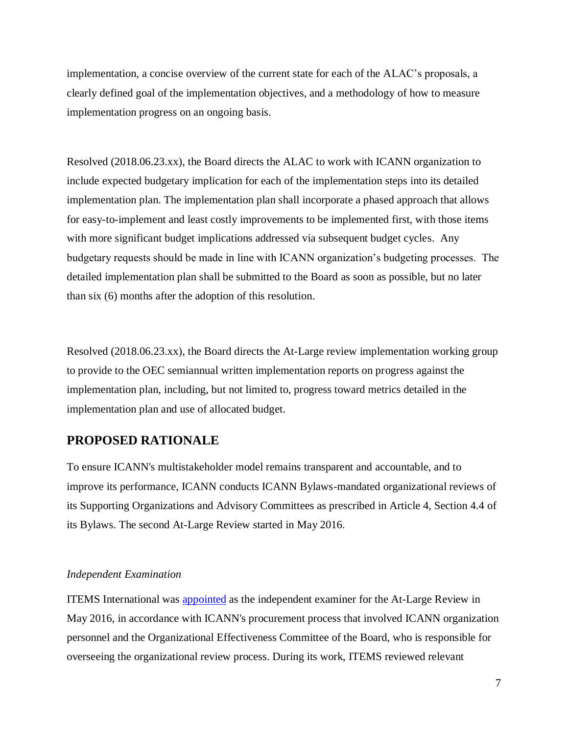implementation, a concise overview of the current state for each of the ALAC's proposals, a clearly defined goal of the implementation objectives, and a methodology of how to measure implementation progress on an ongoing basis.

Resolved (2018.06.23.xx), the Board directs the ALAC to work with ICANN organization to include expected budgetary implication for each of the implementation steps into its detailed implementation plan. The implementation plan shall incorporate a phased approach that allows for easy-to-implement and least costly improvements to be implemented first, with those items with more significant budget implications addressed via subsequent budget cycles. Any budgetary requests should be made in line with ICANN organization's budgeting processes. The detailed implementation plan shall be submitted to the Board as soon as possible, but no later than six (6) months after the adoption of this resolution.

Resolved (2018.06.23.xx), the Board directs the At-Large review implementation working group to provide to the OEC semiannual written implementation reports on progress against the implementation plan, including, but not limited to, progress toward metrics detailed in the implementation plan and use of allocated budget.

## **PROPOSED RATIONALE**

To ensure ICANN's multistakeholder model remains transparent and accountable, and to improve its performance, ICANN conducts ICANN Bylaws-mandated organizational reviews of its Supporting Organizations and Advisory Committees as prescribed in Article 4, Section 4.4 of its Bylaws. The second At-Large Review started in May 2016.

#### *Independent Examination*

ITEMS International was appointed as the independent examiner for the At-Large Review in May 2016, in accordance with ICANN's procurement process that involved ICANN organization personnel and the Organizational Effectiveness Committee of the Board, who is responsible for overseeing the organizational review process. During its work, ITEMS reviewed relevant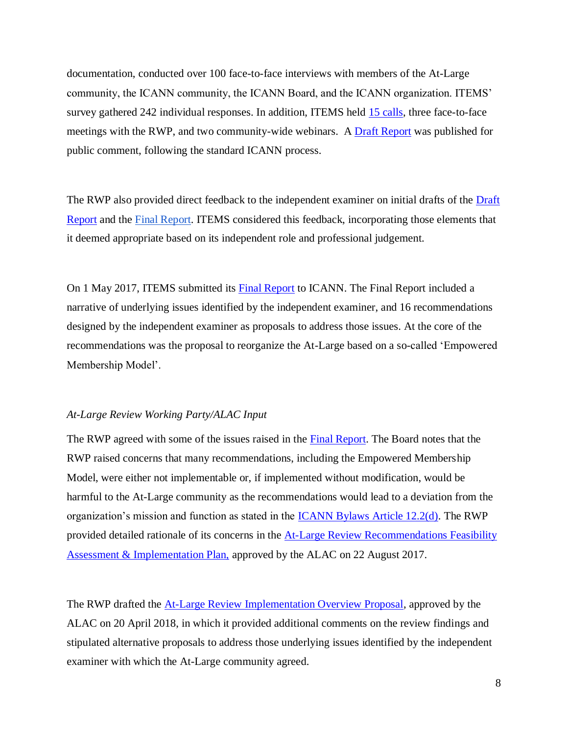documentation, conducted over 100 face-to-face interviews with members of the At-Large community, the ICANN community, the ICANN Board, and the ICANN organization. ITEMS' survey gathered 242 individual responses. In addition, ITEMS held 15 calls, three face-to-face meetings with the RWP, and two community-wide webinars. A **Draft Report** was published for public comment, following the standard ICANN process.

The RWP also provided direct feedback to the independent examiner on initial drafts of the Draft Report and the Final Report. ITEMS considered this feedback, incorporating those elements that it deemed appropriate based on its independent role and professional judgement.

On 1 May 2017, ITEMS submitted its **Final Report** to ICANN. The Final Report included a narrative of underlying issues identified by the independent examiner, and 16 recommendations designed by the independent examiner as proposals to address those issues. At the core of the recommendations was the proposal to reorganize the At-Large based on a so-called 'Empowered Membership Model'.

#### *At-Large Review Working Party/ALAC Input*

The RWP agreed with some of the issues raised in the **Final Report**. The Board notes that the RWP raised concerns that many recommendations, including the Empowered Membership Model, were either not implementable or, if implemented without modification, would be harmful to the At-Large community as the recommendations would lead to a deviation from the organization's mission and function as stated in the ICANN Bylaws Article 12.2(d). The RWP provided detailed rationale of its concerns in the **At-Large Review Recommendations Feasibility** Assessment & Implementation Plan, approved by the ALAC on 22 August 2017.

The RWP drafted the At-Large Review Implementation Overview Proposal, approved by the ALAC on 20 April 2018, in which it provided additional comments on the review findings and stipulated alternative proposals to address those underlying issues identified by the independent examiner with which the At-Large community agreed.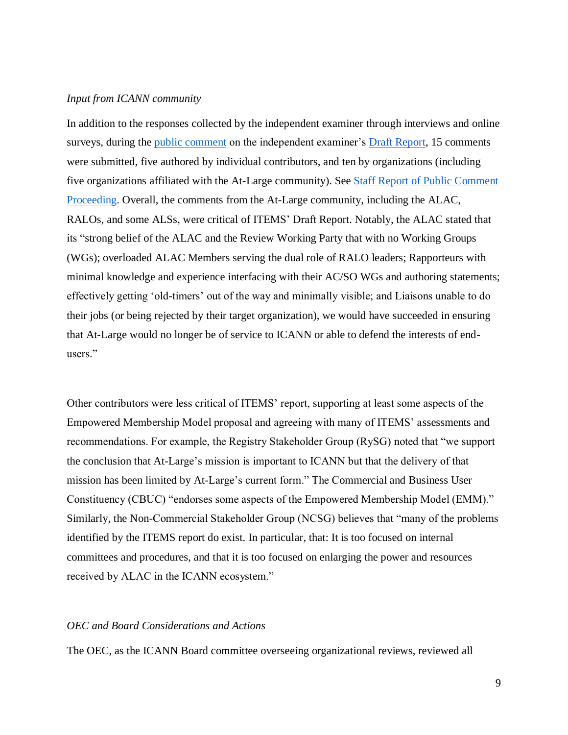#### *Input from ICANN community*

In addition to the responses collected by the independent examiner through interviews and online surveys, during the public comment on the independent examiner's Draft Report, 15 comments were submitted, five authored by individual contributors, and ten by organizations (including five organizations affiliated with the At-Large community). See Staff Report of Public Comment Proceeding. Overall, the comments from the At-Large community, including the ALAC, RALOs, and some ALSs, were critical of ITEMS' Draft Report. Notably, the ALAC stated that its "strong belief of the ALAC and the Review Working Party that with no Working Groups (WGs); overloaded ALAC Members serving the dual role of RALO leaders; Rapporteurs with minimal knowledge and experience interfacing with their AC/SO WGs and authoring statements; effectively getting 'old-timers' out of the way and minimally visible; and Liaisons unable to do their jobs (or being rejected by their target organization), we would have succeeded in ensuring that At-Large would no longer be of service to ICANN or able to defend the interests of endusers."

Other contributors were less critical of ITEMS' report, supporting at least some aspects of the Empowered Membership Model proposal and agreeing with many of ITEMS' assessments and recommendations. For example, the Registry Stakeholder Group (RySG) noted that "we support the conclusion that At-Large's mission is important to ICANN but that the delivery of that mission has been limited by At-Large's current form." The Commercial and Business User Constituency (CBUC) "endorses some aspects of the Empowered Membership Model (EMM)." Similarly, the Non-Commercial Stakeholder Group (NCSG) believes that "many of the problems identified by the ITEMS report do exist. In particular, that: It is too focused on internal committees and procedures, and that it is too focused on enlarging the power and resources received by ALAC in the ICANN ecosystem."

#### *OEC and Board Considerations and Actions*

The OEC, as the ICANN Board committee overseeing organizational reviews, reviewed all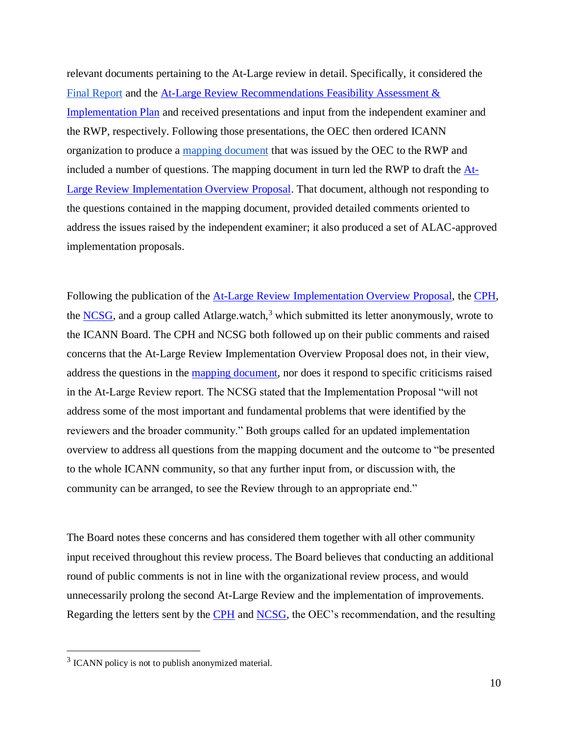relevant documents pertaining to the At-Large review in detail. Specifically, it considered the Final Report and the At-Large Review Recommendations Feasibility Assessment & Implementation Plan and received presentations and input from the independent examiner and the RWP, respectively. Following those presentations, the OEC then ordered ICANN organization to produce a mapping document that was issued by the OEC to the RWP and included a number of questions. The mapping document in turn led the RWP to draft the At-Large Review Implementation Overview Proposal. That document, although not responding to the questions contained in the mapping document, provided detailed comments oriented to address the issues raised by the independent examiner; it also produced a set of ALAC-approved implementation proposals.

Following the publication of the At-Large Review Implementation Overview Proposal, the CPH, the NCSG, and a group called Atlarge.watch, $3$  which submitted its letter anonymously, wrote to the ICANN Board. The CPH and NCSG both followed up on their public comments and raised concerns that the At-Large Review Implementation Overview Proposal does not, in their view, address the questions in the mapping document, nor does it respond to specific criticisms raised in the At-Large Review report. The NCSG stated that the Implementation Proposal "will not address some of the most important and fundamental problems that were identified by the reviewers and the broader community." Both groups called for an updated implementation overview to address all questions from the mapping document and the outcome to "be presented to the whole ICANN community, so that any further input from, or discussion with, the community can be arranged, to see the Review through to an appropriate end."

The Board notes these concerns and has considered them together with all other community input received throughout this review process. The Board believes that conducting an additional round of public comments is not in line with the organizational review process, and would unnecessarily prolong the second At-Large Review and the implementation of improvements. Regarding the letters sent by the CPH and NCSG, the OEC's recommendation, and the resulting

 $\overline{a}$ 

 $3$  ICANN policy is not to publish anonymized material.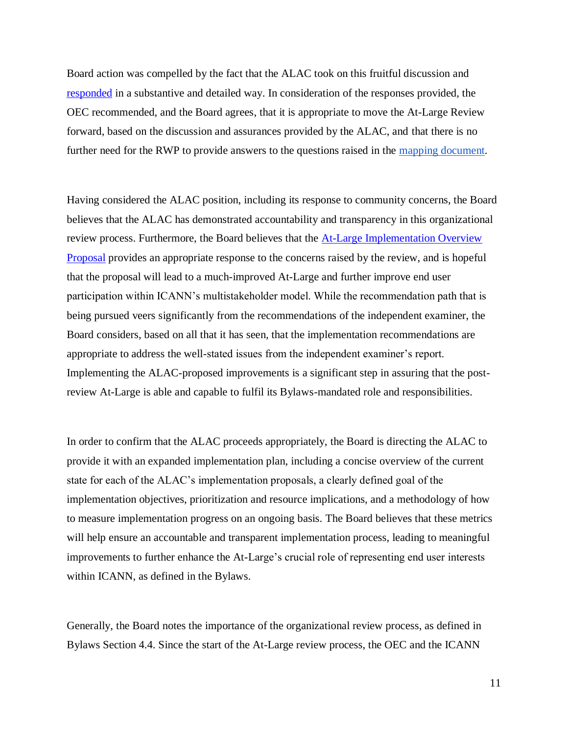Board action was compelled by the fact that the ALAC took on this fruitful discussion and responded in a substantive and detailed way. In consideration of the responses provided, the OEC recommended, and the Board agrees, that it is appropriate to move the At-Large Review forward, based on the discussion and assurances provided by the ALAC, and that there is no further need for the RWP to provide answers to the questions raised in the mapping document.

Having considered the ALAC position, including its response to community concerns, the Board believes that the ALAC has demonstrated accountability and transparency in this organizational review process. Furthermore, the Board believes that the At-Large Implementation Overview Proposal provides an appropriate response to the concerns raised by the review, and is hopeful that the proposal will lead to a much-improved At-Large and further improve end user participation within ICANN's multistakeholder model. While the recommendation path that is being pursued veers significantly from the recommendations of the independent examiner, the Board considers, based on all that it has seen, that the implementation recommendations are appropriate to address the well-stated issues from the independent examiner's report. Implementing the ALAC-proposed improvements is a significant step in assuring that the postreview At-Large is able and capable to fulfil its Bylaws-mandated role and responsibilities.

In order to confirm that the ALAC proceeds appropriately, the Board is directing the ALAC to provide it with an expanded implementation plan, including a concise overview of the current state for each of the ALAC's implementation proposals, a clearly defined goal of the implementation objectives, prioritization and resource implications, and a methodology of how to measure implementation progress on an ongoing basis. The Board believes that these metrics will help ensure an accountable and transparent implementation process, leading to meaningful improvements to further enhance the At-Large's crucial role of representing end user interests within ICANN, as defined in the Bylaws.

Generally, the Board notes the importance of the organizational review process, as defined in Bylaws Section 4.4. Since the start of the At-Large review process, the OEC and the ICANN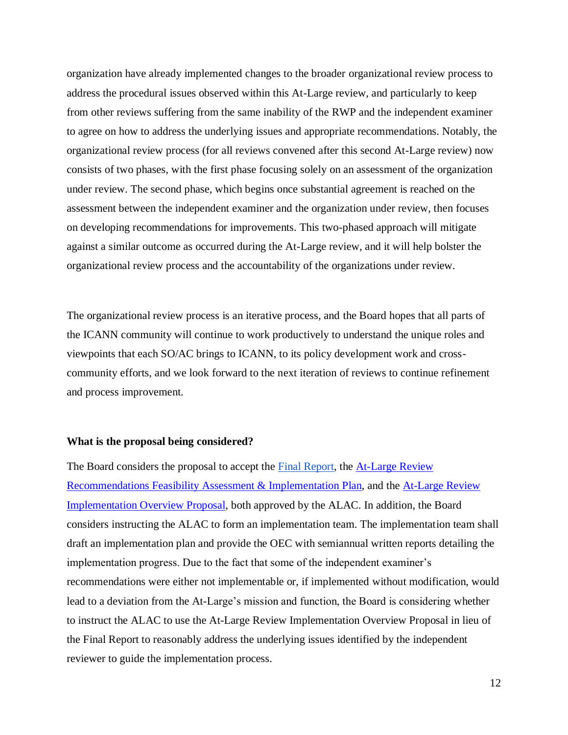organization have already implemented changes to the broader organizational review process to address the procedural issues observed within this At-Large review, and particularly to keep from other reviews suffering from the same inability of the RWP and the independent examiner to agree on how to address the underlying issues and appropriate recommendations. Notably, the organizational review process (for all reviews convened after this second At-Large review) now consists of two phases, with the first phase focusing solely on an assessment of the organization under review. The second phase, which begins once substantial agreement is reached on the assessment between the independent examiner and the organization under review, then focuses on developing recommendations for improvements. This two-phased approach will mitigate against a similar outcome as occurred during the At-Large review, and it will help bolster the organizational review process and the accountability of the organizations under review.

The organizational review process is an iterative process, and the Board hopes that all parts of the ICANN community will continue to work productively to understand the unique roles and viewpoints that each SO/AC brings to ICANN, to its policy development work and crosscommunity efforts, and we look forward to the next iteration of reviews to continue refinement and process improvement.

#### **What is the proposal being considered?**

The Board considers the proposal to accept the **Final Report**, the **At-Large Review** Recommendations Feasibility Assessment & Implementation Plan, and the At-Large Review Implementation Overview Proposal, both approved by the ALAC. In addition, the Board considers instructing the ALAC to form an implementation team. The implementation team shall draft an implementation plan and provide the OEC with semiannual written reports detailing the implementation progress. Due to the fact that some of the independent examiner's recommendations were either not implementable or, if implemented without modification, would lead to a deviation from the At-Large's mission and function, the Board is considering whether to instruct the ALAC to use the At-Large Review Implementation Overview Proposal in lieu of the Final Report to reasonably address the underlying issues identified by the independent reviewer to guide the implementation process.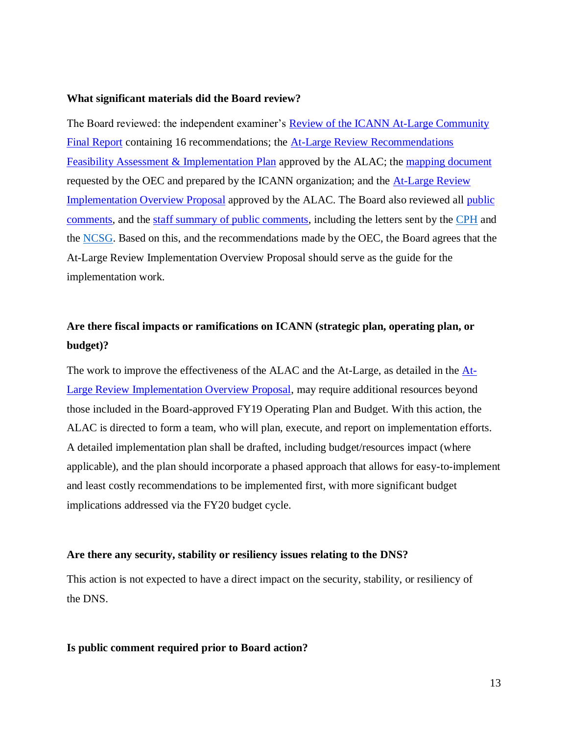#### **What significant materials did the Board review?**

The Board reviewed: the independent examiner's Review of the ICANN At-Large Community Final Report containing 16 recommendations; the At-Large Review Recommendations Feasibility Assessment & Implementation Plan approved by the ALAC; the mapping document requested by the OEC and prepared by the ICANN organization; and the At-Large Review Implementation Overview Proposal approved by the ALAC. The Board also reviewed all public comments, and the staff summary of public comments, including the letters sent by the CPH and the NCSG. Based on this, and the recommendations made by the OEC, the Board agrees that the At-Large Review Implementation Overview Proposal should serve as the guide for the implementation work.

## **Are there fiscal impacts or ramifications on ICANN (strategic plan, operating plan, or budget)?**

The work to improve the effectiveness of the ALAC and the At-Large, as detailed in the At-Large Review Implementation Overview Proposal, may require additional resources beyond those included in the Board-approved FY19 Operating Plan and Budget. With this action, the ALAC is directed to form a team, who will plan, execute, and report on implementation efforts. A detailed implementation plan shall be drafted, including budget/resources impact (where applicable), and the plan should incorporate a phased approach that allows for easy-to-implement and least costly recommendations to be implemented first, with more significant budget implications addressed via the FY20 budget cycle.

#### **Are there any security, stability or resiliency issues relating to the DNS?**

This action is not expected to have a direct impact on the security, stability, or resiliency of the DNS.

#### **Is public comment required prior to Board action?**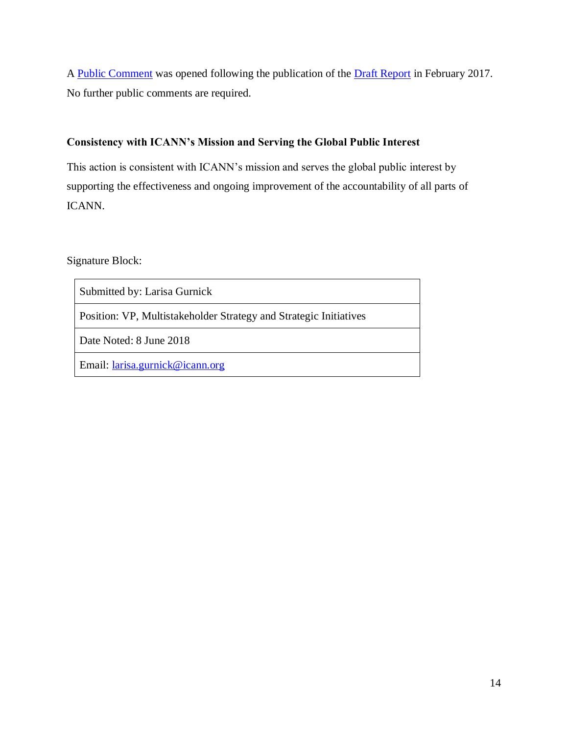A Public Comment was opened following the publication of the Draft Report in February 2017. No further public comments are required.

## **Consistency with ICANN's Mission and Serving the Global Public Interest**

This action is consistent with ICANN's mission and serves the global public interest by supporting the effectiveness and ongoing improvement of the accountability of all parts of ICANN.

Signature Block:

Submitted by: Larisa Gurnick

Position: VP, Multistakeholder Strategy and Strategic Initiatives

Date Noted: 8 June 2018

Email: larisa.gurnick@icann.org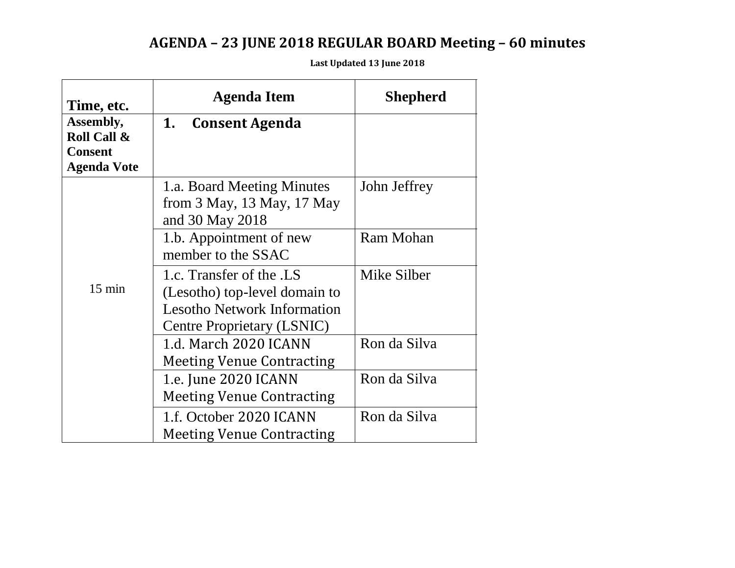# **AGENDA – 23 JUNE 2018 REGULAR BOARD Meeting – 60 minutes**

**Last Updated 13 June 2018**

| Time, etc.                    | Agenda Item                                                                                                                   | <b>Shepherd</b> |
|-------------------------------|-------------------------------------------------------------------------------------------------------------------------------|-----------------|
| Assembly,                     | 1.<br><b>Consent Agenda</b>                                                                                                   |                 |
| Roll Call &<br><b>Consent</b> |                                                                                                                               |                 |
| <b>Agenda Vote</b>            |                                                                                                                               |                 |
|                               | 1.a. Board Meeting Minutes<br>from $3$ May, $13$ May, $17$ May<br>and 30 May 2018                                             | John Jeffrey    |
|                               | 1.b. Appointment of new<br>member to the SSAC                                                                                 | Ram Mohan       |
| $15 \text{ min}$              | 1.c. Transfer of the .LS<br>(Lesotho) top-level domain to<br><b>Lesotho Network Information</b><br>Centre Proprietary (LSNIC) | Mike Silber     |
|                               | 1.d. March 2020 ICANN<br><b>Meeting Venue Contracting</b>                                                                     | Ron da Silva    |
|                               | 1.e. June 2020 ICANN<br><b>Meeting Venue Contracting</b>                                                                      | Ron da Silva    |
|                               | 1.f. October 2020 ICANN<br><b>Meeting Venue Contracting</b>                                                                   | Ron da Silva    |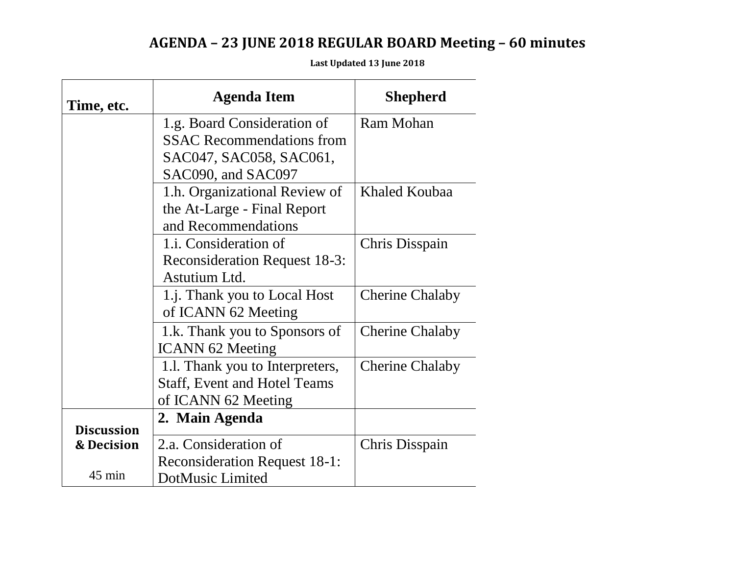## **AGENDA – 23 JUNE 2018 REGULAR BOARD Meeting – 60 minutes**

| <b>Time, etc.</b>     | <b>Agenda Item</b>                   | <b>Shepherd</b>        |
|-----------------------|--------------------------------------|------------------------|
|                       | 1.g. Board Consideration of          | Ram Mohan              |
|                       | <b>SSAC Recommendations from</b>     |                        |
|                       | SAC047, SAC058, SAC061,              |                        |
|                       | SAC090, and SAC097                   |                        |
|                       | 1.h. Organizational Review of        | Khaled Koubaa          |
|                       | the At-Large - Final Report          |                        |
|                       | and Recommendations                  |                        |
|                       | 1.i. Consideration of                | Chris Disspain         |
|                       | <b>Reconsideration Request 18-3:</b> |                        |
|                       | Astutium Ltd.                        |                        |
|                       | 1.j. Thank you to Local Host         | <b>Cherine Chalaby</b> |
|                       | of ICANN 62 Meeting                  |                        |
|                       | 1.k. Thank you to Sponsors of        | <b>Cherine Chalaby</b> |
|                       | <b>ICANN 62 Meeting</b>              |                        |
|                       | 1.1. Thank you to Interpreters,      | <b>Cherine Chalaby</b> |
|                       | <b>Staff, Event and Hotel Teams</b>  |                        |
|                       | of ICANN 62 Meeting                  |                        |
|                       | 2. Main Agenda                       |                        |
| <b>Discussion</b>     |                                      |                        |
| <b>&amp; Decision</b> | 2.a. Consideration of                | Chris Disspain         |
| $45$ min              | <b>Reconsideration Request 18-1:</b> |                        |
|                       | DotMusic Limited                     |                        |

**Last Updated 13 June 2018**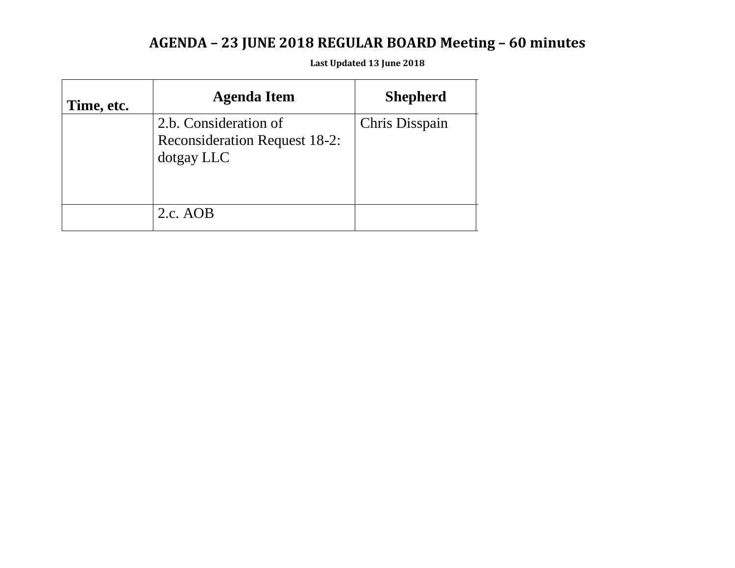## **AGENDA – 23 JUNE 2018 REGULAR BOARD Meeting – 60 minutes**

**Last Updated 13 June 2018**

| Time, etc. | <b>Agenda Item</b>                                                          | <b>Shepherd</b> |
|------------|-----------------------------------------------------------------------------|-----------------|
|            | 2.b. Consideration of<br><b>Reconsideration Request 18-2:</b><br>dotgay LLC | Chris Disspain  |
|            | $2.c.$ AOB                                                                  |                 |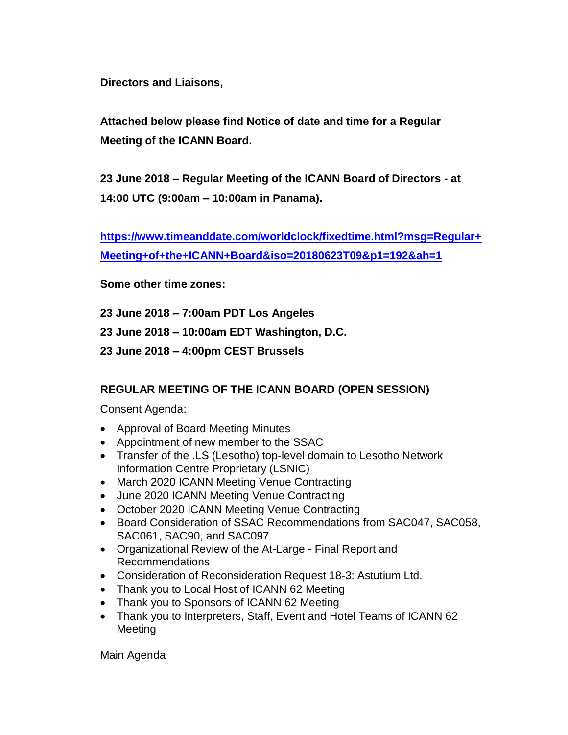**Directors and Liaisons,**

**Attached below please find Notice of date and time for a Regular Meeting of the ICANN Board.** 

**23 June 2018 – Regular Meeting of the ICANN Board of Directors - at 14:00 UTC (9:00am – 10:00am in Panama).** 

**https://www.timeanddate.com/worldclock/fixedtime.html?msg=Regular+ Meeting+of+the+ICANN+Board&iso=20180623T09&p1=192&ah=1**

**Some other time zones:**

**23 June 2018 – 7:00am PDT Los Angeles**

**23 June 2018 – 10:00am EDT Washington, D.C.** 

**23 June 2018 – 4:00pm CEST Brussels**

### **REGULAR MEETING OF THE ICANN BOARD (OPEN SESSION)**

Consent Agenda:

- Approval of Board Meeting Minutes
- Appointment of new member to the SSAC
- Transfer of the .LS (Lesotho) top-level domain to Lesotho Network Information Centre Proprietary (LSNIC)
- March 2020 ICANN Meeting Venue Contracting
- June 2020 ICANN Meeting Venue Contracting
- October 2020 ICANN Meeting Venue Contracting
- Board Consideration of SSAC Recommendations from SAC047, SAC058, SAC061, SAC90, and SAC097
- Organizational Review of the At-Large Final Report and Recommendations
- Consideration of Reconsideration Request 18-3: Astutium Ltd.
- Thank you to Local Host of ICANN 62 Meeting
- Thank you to Sponsors of ICANN 62 Meeting
- Thank you to Interpreters, Staff, Event and Hotel Teams of ICANN 62 Meeting

Main Agenda